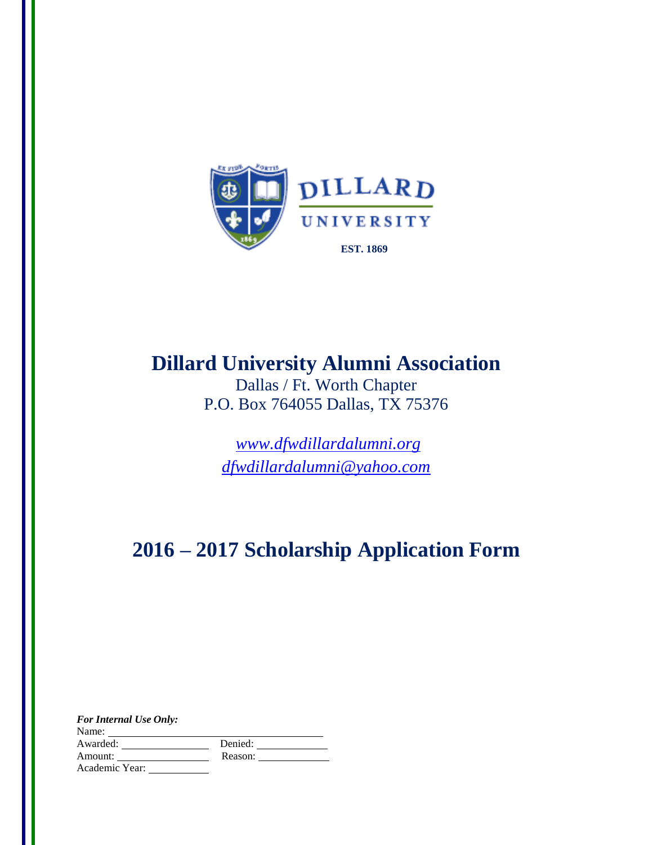

# **2016 – 2017 Scholarship Application Form Dillard University Alumni Association**

Dallas / Ft. Worth Chapter P.O. Box 764055 Dallas, TX 75376

*[www.dfwdillardalumni.org](http://www.dfwdillardalumni.org/) [dfwdillardalumni@yahoo.com](mailto:dfwdillardalumni@yahoo.com)*

# **2016 – 2017 Scholarship Application Form**

| <b>For Internal Use Only:</b> |         |
|-------------------------------|---------|
| Name:                         |         |
| Awarded:                      | Denied: |
| Amount:                       | Reason: |
| Academic Year:                |         |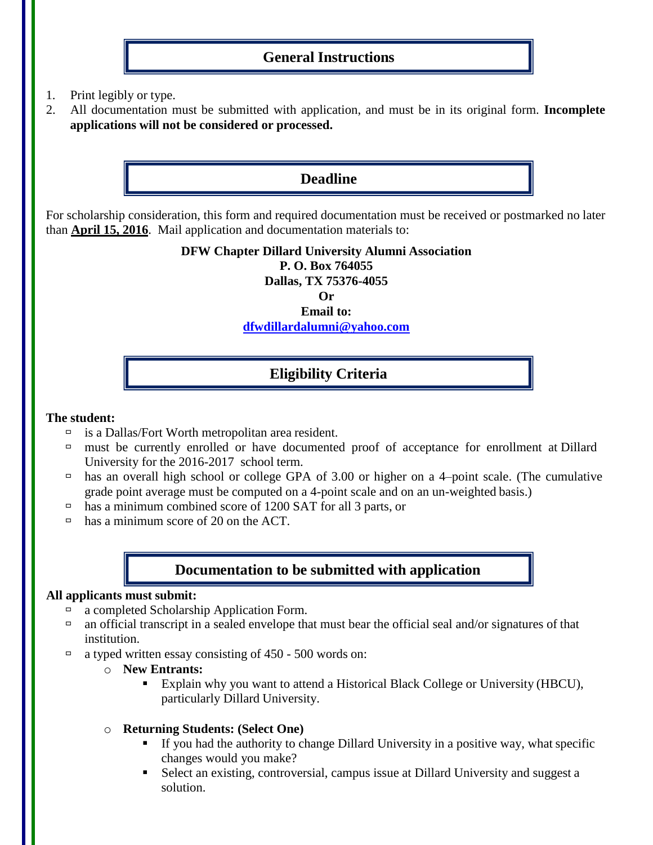## **General Instructions**

- 1. Print legibly or type.
- 2. All documentation must be submitted with application, and must be in its original form. **Incomplete applications will not be considered or processed.**

## **Deadline**

For scholarship consideration, this form and required documentation must be received or postmarked no later than **April 15, 2016**. Mail application and documentation materials to:

> **DFW Chapter Dillard University Alumni Association P. O. Box 764055 Dallas, TX 75376-4055 Or Email to: [dfwdillardalumni@yahoo.com](mailto:dfwdillardalumni@yahoo.com)**

## **Eligibility Criteria**

#### **The student:**

- $\Box$  is a Dallas/Fort Worth metropolitan area resident.
- $\Box$  must be currently enrolled or have documented proof of acceptance for enrollment at Dillard University for the 2016-2017 school term.
- has an overall high school or college GPA of 3.00 or higher on a 4-point scale. (The cumulative grade point average must be computed on a 4-point scale and on an un-weighted basis.)
- has a minimum combined score of 1200 SAT for all 3 parts, or
- $\Box$  has a minimum score of 20 on the ACT.

## **Documentation to be submitted with application**

#### **All applicants must submit:**

- $\Box$  a completed Scholarship Application Form.
- $\Box$  an official transcript in a sealed envelope that must bear the official seal and/or signatures of that institution.
- a typed written essay consisting of  $450 500$  words on:
	- o **New Entrants:**
		- Explain why you want to attend a Historical Black College or University (HBCU), particularly Dillard University.
	- o **Returning Students: (Select One)**
		- If you had the authority to change Dillard University in a positive way, what specific changes would you make?
		- Select an existing, controversial, campus issue at Dillard University and suggest a solution.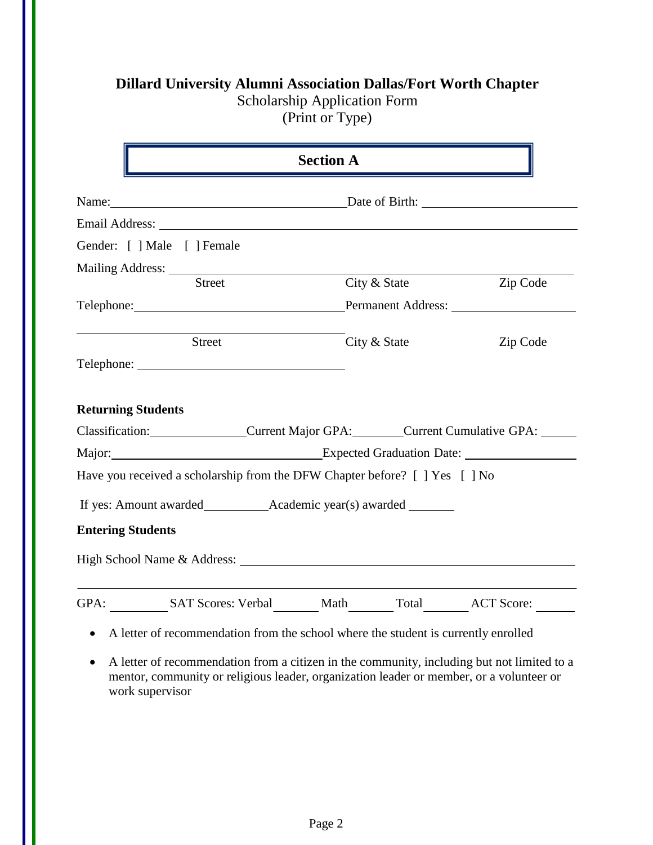|  |  | <b>Dillard University Alumni Association Dallas/Fort Worth Chapter</b> |  |
|--|--|------------------------------------------------------------------------|--|
|--|--|------------------------------------------------------------------------|--|

Scholarship Application Form

(Print or Type)

|                           |                                                                                                                                                                                                                                | <b>Section A</b>   |          |
|---------------------------|--------------------------------------------------------------------------------------------------------------------------------------------------------------------------------------------------------------------------------|--------------------|----------|
|                           | Name: Date of Birth:                                                                                                                                                                                                           |                    |          |
|                           |                                                                                                                                                                                                                                |                    |          |
|                           | Gender: [ ] Male [ ] Female                                                                                                                                                                                                    |                    |          |
|                           |                                                                                                                                                                                                                                |                    |          |
|                           | <b>Street</b>                                                                                                                                                                                                                  | City & State       | Zip Code |
|                           | Telephone: The contract of the contract of the contract of the contract of the contract of the contract of the contract of the contract of the contract of the contract of the contract of the contract of the contract of the | Permanent Address: |          |
|                           | Street                                                                                                                                                                                                                         | City & State       | Zip Code |
|                           |                                                                                                                                                                                                                                |                    |          |
|                           |                                                                                                                                                                                                                                |                    |          |
| <b>Returning Students</b> | Classification: Current Major GPA: Current Cumulative GPA:                                                                                                                                                                     |                    |          |
|                           | Major: Expected Graduation Date:                                                                                                                                                                                               |                    |          |
|                           | Have you received a scholarship from the DFW Chapter before? [ ] Yes [ ] No                                                                                                                                                    |                    |          |
|                           |                                                                                                                                                                                                                                |                    |          |
| <b>Entering Students</b>  |                                                                                                                                                                                                                                |                    |          |
|                           |                                                                                                                                                                                                                                |                    |          |

 A letter of recommendation from a citizen in the community, including but not limited to a mentor, community or religious leader, organization leader or member, or a volunteer or work supervisor